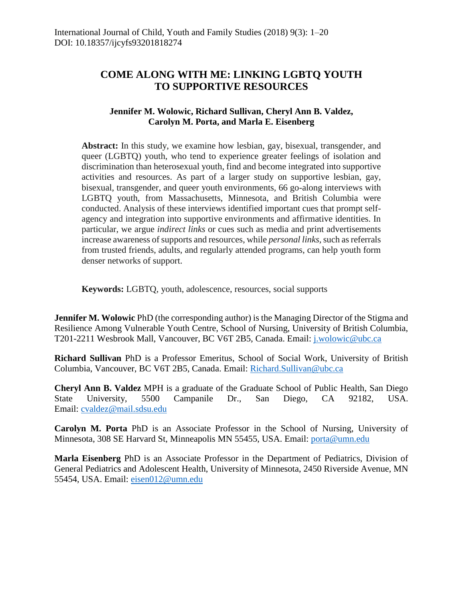# **COME ALONG WITH ME: LINKING LGBTQ YOUTH TO SUPPORTIVE RESOURCES**

# **Jennifer M. Wolowic, Richard Sullivan, Cheryl Ann B. Valdez, Carolyn M. Porta, and Marla E. Eisenberg**

**Abstract:** In this study, we examine how lesbian, gay, bisexual, transgender, and queer (LGBTQ) youth, who tend to experience greater feelings of isolation and discrimination than heterosexual youth, find and become integrated into supportive activities and resources. As part of a larger study on supportive lesbian, gay, bisexual, transgender, and queer youth environments, 66 go-along interviews with LGBTQ youth, from Massachusetts, Minnesota, and British Columbia were conducted. Analysis of these interviews identified important cues that prompt selfagency and integration into supportive environments and affirmative identities. In particular, we argue *indirect links* or cues such as media and print advertisements increase awareness of supports and resources, while *personal links*, such as referrals from trusted friends, adults, and regularly attended programs, can help youth form denser networks of support.

**Keywords:** LGBTQ, youth, adolescence, resources, social supports

**Jennifer M. Wolowic** PhD (the corresponding author) is the Managing Director of the Stigma and Resilience Among Vulnerable Youth Centre, School of Nursing, University of British Columbia, T201-2211 Wesbrook Mall, Vancouver, BC V6T 2B5, Canada. Email: [j.wolowic@ubc.ca](mailto:j.wolowic@ubc.ca)

**Richard Sullivan** PhD is a Professor Emeritus, School of Social Work, University of British Columbia, Vancouver, BC V6T 2B5, Canada. Email: [Richard.Sullivan@ubc.ca](mailto:Richard.Sullivan@ubc.ca)

**Cheryl Ann B. Valdez** MPH is a graduate of the Graduate School of Public Health, San Diego State University, 5500 Campanile Dr., San Diego, CA 92182, USA. Email: [cvaldez@mail.sdsu.edu](mailto:cvaldez@mail.sdsu.edu)

**Carolyn M. Porta** PhD is an Associate Professor in the School of Nursing, University of Minnesota, 308 SE Harvard St, Minneapolis MN 55455, USA. Email: [porta@umn.edu](mailto:porta@umn.edu)

**Marla Eisenberg** PhD is an Associate Professor in the Department of Pediatrics, Division of General Pediatrics and Adolescent Health, University of Minnesota, 2450 Riverside Avenue, MN 55454, USA. Email: [eisen012@umn.edu](mailto:eisen012@umn.edu)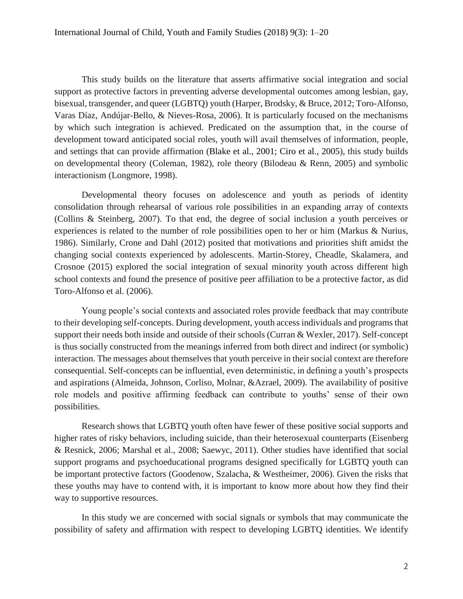This study builds on the literature that asserts affirmative social integration and social support as protective factors in preventing adverse developmental outcomes among lesbian, gay, bisexual, transgender, and queer (LGBTQ) youth (Harper, Brodsky, & Bruce, 2012; Toro-Alfonso, Varas Díaz, Andújar-Bello, & Nieves-Rosa, 2006). It is particularly focused on the mechanisms by which such integration is achieved. Predicated on the assumption that, in the course of development toward anticipated social roles, youth will avail themselves of information, people, and settings that can provide affirmation (Blake et al., 2001; Ciro et al., 2005), this study builds on developmental theory (Coleman, 1982), role theory (Bilodeau & Renn, 2005) and symbolic interactionism (Longmore, 1998).

Developmental theory focuses on adolescence and youth as periods of identity consolidation through rehearsal of various role possibilities in an expanding array of contexts (Collins & Steinberg, 2007). To that end, the degree of social inclusion a youth perceives or experiences is related to the number of role possibilities open to her or him (Markus & Nurius, 1986). Similarly, Crone and Dahl (2012) posited that motivations and priorities shift amidst the changing social contexts experienced by adolescents. Martin-Storey, Cheadle, Skalamera, and Crosnoe (2015) explored the social integration of sexual minority youth across different high school contexts and found the presence of positive peer affiliation to be a protective factor, as did Toro-Alfonso et al. (2006).

Young people's social contexts and associated roles provide feedback that may contribute to their developing self-concepts. During development, youth access individuals and programs that support their needs both inside and outside of their schools (Curran & Wexler, 2017). Self-concept is thus socially constructed from the meanings inferred from both direct and indirect (or symbolic) interaction. The messages about themselves that youth perceive in their social context are therefore consequential. Self-concepts can be influential, even deterministic, in defining a youth's prospects and aspirations (Almeida, Johnson, Corliso, Molnar, &Azrael, 2009). The availability of positive role models and positive affirming feedback can contribute to youths' sense of their own possibilities.

Research shows that LGBTQ youth often have fewer of these positive social supports and higher rates of risky behaviors, including suicide, than their heterosexual counterparts (Eisenberg & Resnick, 2006; Marshal et al., 2008; Saewyc, 2011). Other studies have identified that social support programs and psychoeducational programs designed specifically for LGBTQ youth can be important protective factors (Goodenow, Szalacha, & Westheimer, 2006). Given the risks that these youths may have to contend with, it is important to know more about how they find their way to supportive resources.

In this study we are concerned with social signals or symbols that may communicate the possibility of safety and affirmation with respect to developing LGBTQ identities. We identify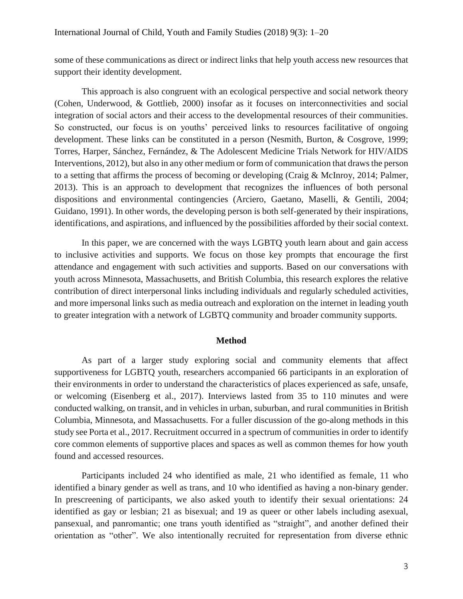some of these communications as direct or indirect links that help youth access new resources that support their identity development.

This approach is also congruent with an ecological perspective and social network theory (Cohen, Underwood, & Gottlieb, 2000) insofar as it focuses on interconnectivities and social integration of social actors and their access to the developmental resources of their communities. So constructed, our focus is on youths' perceived links to resources facilitative of ongoing development. These links can be constituted in a person (Nesmith, Burton, & Cosgrove, 1999; Torres, Harper, Sánchez, Fernández, & The Adolescent Medicine Trials Network for HIV/AIDS Interventions, 2012), but also in any other medium or form of communication that draws the person to a setting that affirms the process of becoming or developing (Craig & McInroy, 2014; Palmer, 2013). This is an approach to development that recognizes the influences of both personal dispositions and environmental contingencies (Arciero, Gaetano, Maselli, & Gentili, 2004; Guidano, 1991). In other words, the developing person is both self-generated by their inspirations, identifications, and aspirations, and influenced by the possibilities afforded by their social context.

In this paper, we are concerned with the ways LGBTQ youth learn about and gain access to inclusive activities and supports. We focus on those key prompts that encourage the first attendance and engagement with such activities and supports. Based on our conversations with youth across Minnesota, Massachusetts, and British Columbia, this research explores the relative contribution of direct interpersonal links including individuals and regularly scheduled activities, and more impersonal links such as media outreach and exploration on the internet in leading youth to greater integration with a network of LGBTQ community and broader community supports.

#### **Method**

As part of a larger study exploring social and community elements that affect supportiveness for LGBTQ youth, researchers accompanied 66 participants in an exploration of their environments in order to understand the characteristics of places experienced as safe, unsafe, or welcoming (Eisenberg et al., 2017). Interviews lasted from 35 to 110 minutes and were conducted walking, on transit, and in vehicles in urban, suburban, and rural communities in British Columbia, Minnesota, and Massachusetts. For a fuller discussion of the go-along methods in this study see Porta et al., 2017. Recruitment occurred in a spectrum of communities in order to identify core common elements of supportive places and spaces as well as common themes for how youth found and accessed resources.

Participants included 24 who identified as male, 21 who identified as female, 11 who identified a binary gender as well as trans, and 10 who identified as having a non-binary gender. In prescreening of participants, we also asked youth to identify their sexual orientations: 24 identified as gay or lesbian; 21 as bisexual; and 19 as queer or other labels including asexual, pansexual, and panromantic; one trans youth identified as "straight", and another defined their orientation as "other". We also intentionally recruited for representation from diverse ethnic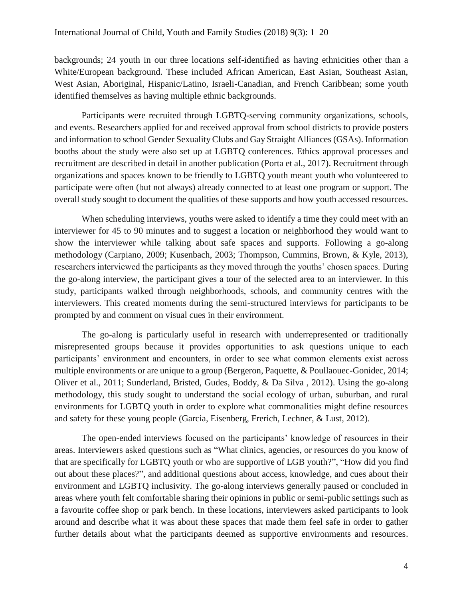backgrounds; 24 youth in our three locations self-identified as having ethnicities other than a White/European background. These included African American, East Asian, Southeast Asian, West Asian, Aboriginal, Hispanic/Latino, Israeli-Canadian, and French Caribbean; some youth identified themselves as having multiple ethnic backgrounds.

Participants were recruited through LGBTQ-serving community organizations, schools, and events. Researchers applied for and received approval from school districts to provide posters and information to school Gender Sexuality Clubs and Gay Straight Alliances (GSAs). Information booths about the study were also set up at LGBTQ conferences. Ethics approval processes and recruitment are described in detail in another publication (Porta et al., 2017). Recruitment through organizations and spaces known to be friendly to LGBTQ youth meant youth who volunteered to participate were often (but not always) already connected to at least one program or support. The overall study sought to document the qualities of these supports and how youth accessed resources.

When scheduling interviews, youths were asked to identify a time they could meet with an interviewer for 45 to 90 minutes and to suggest a location or neighborhood they would want to show the interviewer while talking about safe spaces and supports. Following a go-along methodology (Carpiano, 2009; Kusenbach, 2003; Thompson, Cummins, Brown, & Kyle, 2013), researchers interviewed the participants as they moved through the youths' chosen spaces. During the go-along interview, the participant gives a tour of the selected area to an interviewer. In this study, participants walked through neighborhoods, schools, and community centres with the interviewers. This created moments during the semi-structured interviews for participants to be prompted by and comment on visual cues in their environment.

The go-along is particularly useful in research with underrepresented or traditionally misrepresented groups because it provides opportunities to ask questions unique to each participants' environment and encounters, in order to see what common elements exist across multiple environments or are unique to a group (Bergeron, Paquette, & Poullaouec-Gonidec, 2014; Oliver et al., 2011; Sunderland, Bristed, Gudes, Boddy, & Da Silva , 2012). Using the go-along methodology, this study sought to understand the social ecology of urban, suburban, and rural environments for LGBTQ youth in order to explore what commonalities might define resources and safety for these young people (Garcia, Eisenberg, Frerich, Lechner, & Lust, 2012).

The open-ended interviews focused on the participants' knowledge of resources in their areas. Interviewers asked questions such as "What clinics, agencies, or resources do you know of that are specifically for LGBTQ youth or who are supportive of LGB youth?", "How did you find out about these places?", and additional questions about access, knowledge, and cues about their environment and LGBTQ inclusivity. The go-along interviews generally paused or concluded in areas where youth felt comfortable sharing their opinions in public or semi-public settings such as a favourite coffee shop or park bench. In these locations, interviewers asked participants to look around and describe what it was about these spaces that made them feel safe in order to gather further details about what the participants deemed as supportive environments and resources.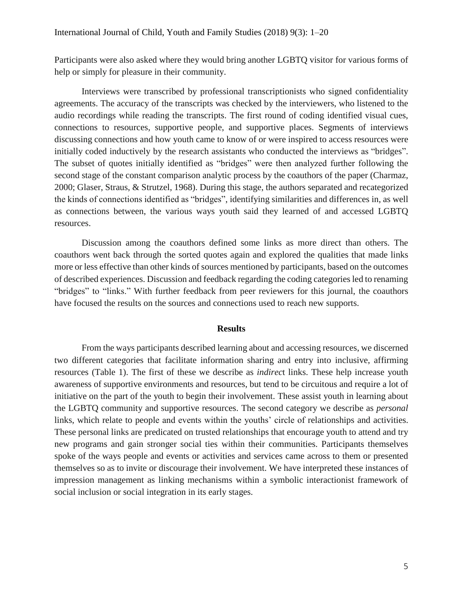Participants were also asked where they would bring another LGBTQ visitor for various forms of help or simply for pleasure in their community.

Interviews were transcribed by professional transcriptionists who signed confidentiality agreements. The accuracy of the transcripts was checked by the interviewers, who listened to the audio recordings while reading the transcripts. The first round of coding identified visual cues, connections to resources, supportive people, and supportive places. Segments of interviews discussing connections and how youth came to know of or were inspired to access resources were initially coded inductively by the research assistants who conducted the interviews as "bridges". The subset of quotes initially identified as "bridges" were then analyzed further following the second stage of the constant comparison analytic process by the coauthors of the paper (Charmaz, 2000; Glaser, Straus, & Strutzel, 1968). During this stage, the authors separated and recategorized the kinds of connections identified as "bridges", identifying similarities and differences in, as well as connections between, the various ways youth said they learned of and accessed LGBTQ resources.

Discussion among the coauthors defined some links as more direct than others. The coauthors went back through the sorted quotes again and explored the qualities that made links more or less effective than other kinds of sources mentioned by participants, based on the outcomes of described experiences. Discussion and feedback regarding the coding categories led to renaming "bridges" to "links." With further feedback from peer reviewers for this journal, the coauthors have focused the results on the sources and connections used to reach new supports.

#### **Results**

From the ways participants described learning about and accessing resources, we discerned two different categories that facilitate information sharing and entry into inclusive, affirming resources (Table 1). The first of these we describe as *indirec*t links. These help increase youth awareness of supportive environments and resources, but tend to be circuitous and require a lot of initiative on the part of the youth to begin their involvement. These assist youth in learning about the LGBTQ community and supportive resources. The second category we describe as *personal* links, which relate to people and events within the youths' circle of relationships and activities. These personal links are predicated on trusted relationships that encourage youth to attend and try new programs and gain stronger social ties within their communities. Participants themselves spoke of the ways people and events or activities and services came across to them or presented themselves so as to invite or discourage their involvement. We have interpreted these instances of impression management as linking mechanisms within a symbolic interactionist framework of social inclusion or social integration in its early stages.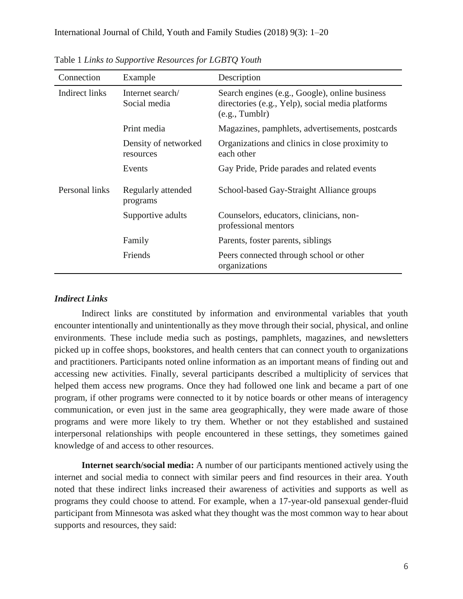| Connection     | Example                           | Description                                                                                                         |
|----------------|-----------------------------------|---------------------------------------------------------------------------------------------------------------------|
| Indirect links | Internet search/<br>Social media  | Search engines (e.g., Google), online business<br>directories (e.g., Yelp), social media platforms<br>(e.g., Tumbl) |
|                | Print media                       | Magazines, pamphlets, advertisements, postcards                                                                     |
|                | Density of networked<br>resources | Organizations and clinics in close proximity to<br>each other                                                       |
|                | Events                            | Gay Pride, Pride parades and related events                                                                         |
| Personal links | Regularly attended<br>programs    | School-based Gay-Straight Alliance groups                                                                           |
|                | Supportive adults                 | Counselors, educators, clinicians, non-<br>professional mentors                                                     |
|                | Family                            | Parents, foster parents, siblings                                                                                   |
|                | Friends                           | Peers connected through school or other<br>organizations                                                            |

Table 1 *Links to Supportive Resources for LGBTQ Youth*

#### *Indirect Links*

Indirect links are constituted by information and environmental variables that youth encounter intentionally and unintentionally as they move through their social, physical, and online environments. These include media such as postings, pamphlets, magazines, and newsletters picked up in coffee shops, bookstores, and health centers that can connect youth to organizations and practitioners. Participants noted online information as an important means of finding out and accessing new activities. Finally, several participants described a multiplicity of services that helped them access new programs. Once they had followed one link and became a part of one program, if other programs were connected to it by notice boards or other means of interagency communication, or even just in the same area geographically, they were made aware of those programs and were more likely to try them. Whether or not they established and sustained interpersonal relationships with people encountered in these settings, they sometimes gained knowledge of and access to other resources.

**Internet search/social media:** A number of our participants mentioned actively using the internet and social media to connect with similar peers and find resources in their area. Youth noted that these indirect links increased their awareness of activities and supports as well as programs they could choose to attend. For example, when a 17-year-old pansexual gender-fluid participant from Minnesota was asked what they thought was the most common way to hear about supports and resources, they said: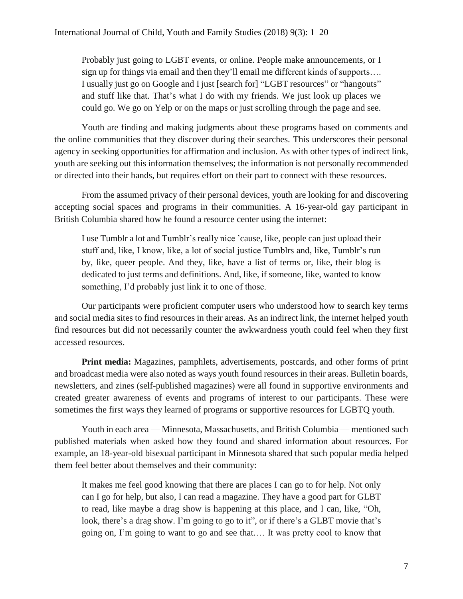Probably just going to LGBT events, or online. People make announcements, or I sign up for things via email and then they'll email me different kinds of supports…. I usually just go on Google and I just [search for] "LGBT resources" or "hangouts" and stuff like that. That's what I do with my friends. We just look up places we could go. We go on Yelp or on the maps or just scrolling through the page and see.

Youth are finding and making judgments about these programs based on comments and the online communities that they discover during their searches. This underscores their personal agency in seeking opportunities for affirmation and inclusion. As with other types of indirect link, youth are seeking out this information themselves; the information is not personally recommended or directed into their hands, but requires effort on their part to connect with these resources.

From the assumed privacy of their personal devices, youth are looking for and discovering accepting social spaces and programs in their communities. A 16-year-old gay participant in British Columbia shared how he found a resource center using the internet:

I use Tumblr a lot and Tumblr's really nice 'cause, like, people can just upload their stuff and, like, I know, like, a lot of social justice Tumblrs and, like, Tumblr's run by, like, queer people. And they, like, have a list of terms or, like, their blog is dedicated to just terms and definitions. And, like, if someone, like, wanted to know something, I'd probably just link it to one of those.

Our participants were proficient computer users who understood how to search key terms and social media sites to find resources in their areas. As an indirect link, the internet helped youth find resources but did not necessarily counter the awkwardness youth could feel when they first accessed resources.

**Print media:** Magazines, pamphlets, advertisements, postcards, and other forms of print and broadcast media were also noted as ways youth found resources in their areas. Bulletin boards, newsletters, and zines (self-published magazines) were all found in supportive environments and created greater awareness of events and programs of interest to our participants. These were sometimes the first ways they learned of programs or supportive resources for LGBTQ youth.

Youth in each area — Minnesota, Massachusetts, and British Columbia — mentioned such published materials when asked how they found and shared information about resources. For example, an 18-year-old bisexual participant in Minnesota shared that such popular media helped them feel better about themselves and their community:

It makes me feel good knowing that there are places I can go to for help. Not only can I go for help, but also, I can read a magazine. They have a good part for GLBT to read, like maybe a drag show is happening at this place, and I can, like, "Oh, look, there's a drag show. I'm going to go to it", or if there's a GLBT movie that's going on, I'm going to want to go and see that.… It was pretty cool to know that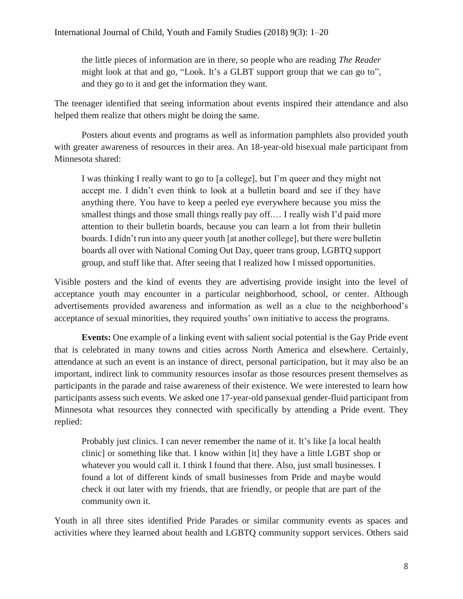the little pieces of information are in there, so people who are reading *The Reader* might look at that and go, "Look. It's a GLBT support group that we can go to", and they go to it and get the information they want.

The teenager identified that seeing information about events inspired their attendance and also helped them realize that others might be doing the same.

Posters about events and programs as well as information pamphlets also provided youth with greater awareness of resources in their area. An 18-year-old bisexual male participant from Minnesota shared:

I was thinking I really want to go to [a college], but I'm queer and they might not accept me. I didn't even think to look at a bulletin board and see if they have anything there. You have to keep a peeled eye everywhere because you miss the smallest things and those small things really pay off.... I really wish I'd paid more attention to their bulletin boards, because you can learn a lot from their bulletin boards. I didn't run into any queer youth [at another college], but there were bulletin boards all over with National Coming Out Day, queer trans group, LGBTQ support group, and stuff like that. After seeing that I realized how I missed opportunities.

Visible posters and the kind of events they are advertising provide insight into the level of acceptance youth may encounter in a particular neighborhood, school, or center. Although advertisements provided awareness and information as well as a clue to the neighborhood's acceptance of sexual minorities, they required youths' own initiative to access the programs.

**Events:** One example of a linking event with salient social potential is the Gay Pride event that is celebrated in many towns and cities across North America and elsewhere. Certainly, attendance at such an event is an instance of direct, personal participation, but it may also be an important, indirect link to community resources insofar as those resources present themselves as participants in the parade and raise awareness of their existence. We were interested to learn how participants assess such events. We asked one 17-year-old pansexual gender-fluid participant from Minnesota what resources they connected with specifically by attending a Pride event. They replied:

Probably just clinics. I can never remember the name of it. It's like [a local health clinic] or something like that. I know within [it] they have a little LGBT shop or whatever you would call it. I think I found that there. Also, just small businesses. I found a lot of different kinds of small businesses from Pride and maybe would check it out later with my friends, that are friendly, or people that are part of the community own it.

Youth in all three sites identified Pride Parades or similar community events as spaces and activities where they learned about health and LGBTQ community support services. Others said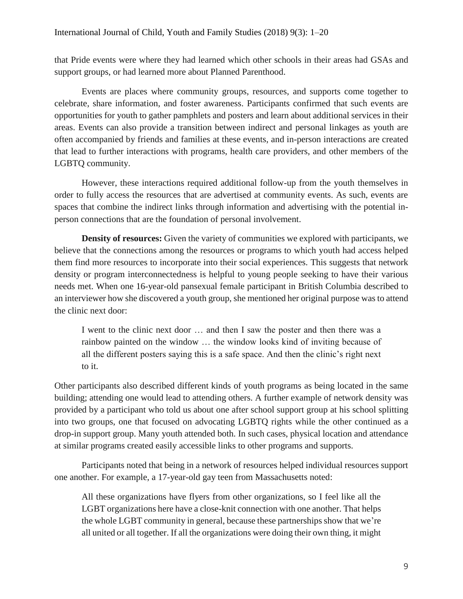that Pride events were where they had learned which other schools in their areas had GSAs and support groups, or had learned more about Planned Parenthood.

Events are places where community groups, resources, and supports come together to celebrate, share information, and foster awareness. Participants confirmed that such events are opportunities for youth to gather pamphlets and posters and learn about additional services in their areas. Events can also provide a transition between indirect and personal linkages as youth are often accompanied by friends and families at these events, and in-person interactions are created that lead to further interactions with programs, health care providers, and other members of the LGBTQ community.

However, these interactions required additional follow-up from the youth themselves in order to fully access the resources that are advertised at community events. As such, events are spaces that combine the indirect links through information and advertising with the potential inperson connections that are the foundation of personal involvement.

**Density of resources:** Given the variety of communities we explored with participants, we believe that the connections among the resources or programs to which youth had access helped them find more resources to incorporate into their social experiences. This suggests that network density or program interconnectedness is helpful to young people seeking to have their various needs met. When one 16-year-old pansexual female participant in British Columbia described to an interviewer how she discovered a youth group, she mentioned her original purpose was to attend the clinic next door:

I went to the clinic next door … and then I saw the poster and then there was a rainbow painted on the window … the window looks kind of inviting because of all the different posters saying this is a safe space. And then the clinic's right next to it.

Other participants also described different kinds of youth programs as being located in the same building; attending one would lead to attending others. A further example of network density was provided by a participant who told us about one after school support group at his school splitting into two groups, one that focused on advocating LGBTQ rights while the other continued as a drop-in support group. Many youth attended both. In such cases, physical location and attendance at similar programs created easily accessible links to other programs and supports.

Participants noted that being in a network of resources helped individual resources support one another. For example, a 17-year-old gay teen from Massachusetts noted:

All these organizations have flyers from other organizations, so I feel like all the LGBT organizations here have a close-knit connection with one another. That helps the whole LGBT community in general, because these partnerships show that we're all united or all together. If all the organizations were doing their own thing, it might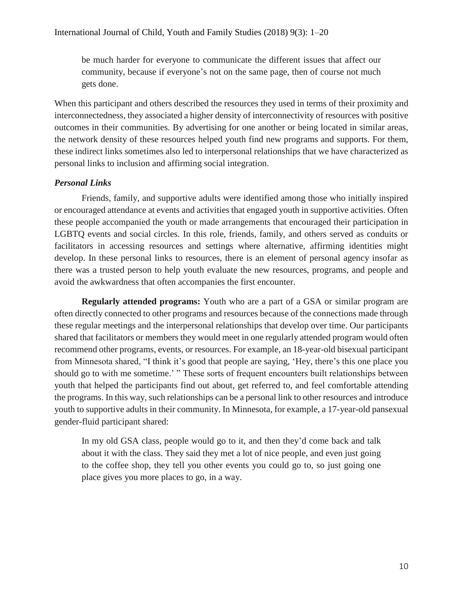be much harder for everyone to communicate the different issues that affect our community, because if everyone's not on the same page, then of course not much gets done.

When this participant and others described the resources they used in terms of their proximity and interconnectedness, they associated a higher density of interconnectivity of resources with positive outcomes in their communities. By advertising for one another or being located in similar areas, the network density of these resources helped youth find new programs and supports. For them, these indirect links sometimes also led to interpersonal relationships that we have characterized as personal links to inclusion and affirming social integration.

# *Personal Links*

Friends, family, and supportive adults were identified among those who initially inspired or encouraged attendance at events and activities that engaged youth in supportive activities. Often these people accompanied the youth or made arrangements that encouraged their participation in LGBTQ events and social circles. In this role, friends, family, and others served as conduits or facilitators in accessing resources and settings where alternative, affirming identities might develop. In these personal links to resources, there is an element of personal agency insofar as there was a trusted person to help youth evaluate the new resources, programs, and people and avoid the awkwardness that often accompanies the first encounter.

**Regularly attended programs:** Youth who are a part of a GSA or similar program are often directly connected to other programs and resources because of the connections made through these regular meetings and the interpersonal relationships that develop over time. Our participants shared that facilitators or members they would meet in one regularly attended program would often recommend other programs, events, or resources. For example, an 18-year-old bisexual participant from Minnesota shared, "I think it's good that people are saying, 'Hey, there's this one place you should go to with me sometime.' " These sorts of frequent encounters built relationships between youth that helped the participants find out about, get referred to, and feel comfortable attending the programs. In this way, such relationships can be a personal link to other resources and introduce youth to supportive adults in their community. In Minnesota, for example, a 17-year-old pansexual gender-fluid participant shared:

In my old GSA class, people would go to it, and then they'd come back and talk about it with the class. They said they met a lot of nice people, and even just going to the coffee shop, they tell you other events you could go to, so just going one place gives you more places to go, in a way.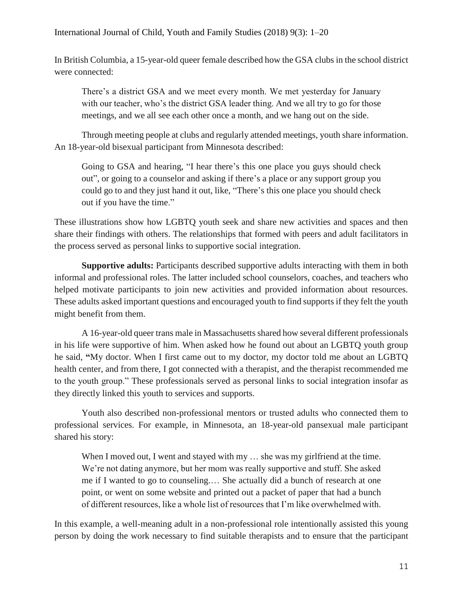In British Columbia, a 15-year-old queer female described how the GSA clubs in the school district were connected:

There's a district GSA and we meet every month. We met yesterday for January with our teacher, who's the district GSA leader thing. And we all try to go for those meetings, and we all see each other once a month, and we hang out on the side.

Through meeting people at clubs and regularly attended meetings, youth share information. An 18-year-old bisexual participant from Minnesota described:

Going to GSA and hearing, "I hear there's this one place you guys should check out", or going to a counselor and asking if there's a place or any support group you could go to and they just hand it out, like, "There's this one place you should check out if you have the time."

These illustrations show how LGBTQ youth seek and share new activities and spaces and then share their findings with others. The relationships that formed with peers and adult facilitators in the process served as personal links to supportive social integration.

**Supportive adults:** Participants described supportive adults interacting with them in both informal and professional roles. The latter included school counselors, coaches, and teachers who helped motivate participants to join new activities and provided information about resources. These adults asked important questions and encouraged youth to find supports if they felt the youth might benefit from them.

A 16-year-old queer trans male in Massachusetts shared how several different professionals in his life were supportive of him. When asked how he found out about an LGBTQ youth group he said, **"**My doctor. When I first came out to my doctor, my doctor told me about an LGBTQ health center, and from there, I got connected with a therapist, and the therapist recommended me to the youth group." These professionals served as personal links to social integration insofar as they directly linked this youth to services and supports.

Youth also described non-professional mentors or trusted adults who connected them to professional services. For example, in Minnesota, an 18-year-old pansexual male participant shared his story:

When I moved out, I went and stayed with my ... she was my girlfriend at the time. We're not dating anymore, but her mom was really supportive and stuff. She asked me if I wanted to go to counseling.… She actually did a bunch of research at one point, or went on some website and printed out a packet of paper that had a bunch of different resources, like a whole list of resources that I'm like overwhelmed with.

In this example, a well-meaning adult in a non-professional role intentionally assisted this young person by doing the work necessary to find suitable therapists and to ensure that the participant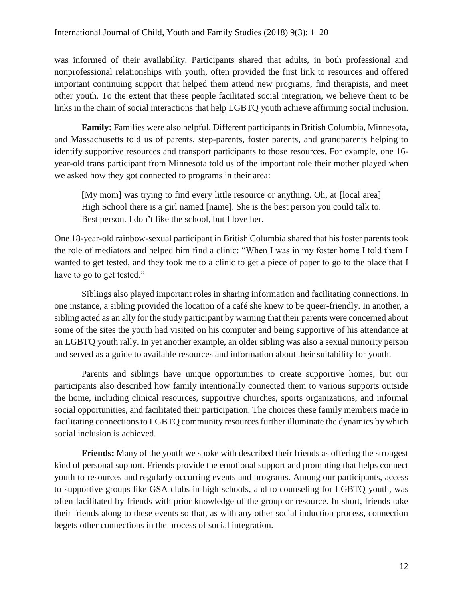was informed of their availability. Participants shared that adults, in both professional and nonprofessional relationships with youth, often provided the first link to resources and offered important continuing support that helped them attend new programs, find therapists, and meet other youth. To the extent that these people facilitated social integration, we believe them to be links in the chain of social interactions that help LGBTQ youth achieve affirming social inclusion.

**Family:** Families were also helpful. Different participants in British Columbia, Minnesota, and Massachusetts told us of parents, step-parents, foster parents, and grandparents helping to identify supportive resources and transport participants to those resources. For example, one 16 year-old trans participant from Minnesota told us of the important role their mother played when we asked how they got connected to programs in their area:

[My mom] was trying to find every little resource or anything. Oh, at [local area] High School there is a girl named [name]. She is the best person you could talk to. Best person. I don't like the school, but I love her.

One 18-year-old rainbow-sexual participant in British Columbia shared that his foster parents took the role of mediators and helped him find a clinic: "When I was in my foster home I told them I wanted to get tested, and they took me to a clinic to get a piece of paper to go to the place that I have to go to get tested."

Siblings also played important roles in sharing information and facilitating connections. In one instance, a sibling provided the location of a café she knew to be queer-friendly. In another, a sibling acted as an ally for the study participant by warning that their parents were concerned about some of the sites the youth had visited on his computer and being supportive of his attendance at an LGBTQ youth rally. In yet another example, an older sibling was also a sexual minority person and served as a guide to available resources and information about their suitability for youth.

Parents and siblings have unique opportunities to create supportive homes, but our participants also described how family intentionally connected them to various supports outside the home, including clinical resources, supportive churches, sports organizations, and informal social opportunities, and facilitated their participation. The choices these family members made in facilitating connections to LGBTQ community resources further illuminate the dynamics by which social inclusion is achieved.

**Friends:** Many of the youth we spoke with described their friends as offering the strongest kind of personal support. Friends provide the emotional support and prompting that helps connect youth to resources and regularly occurring events and programs. Among our participants, access to supportive groups like GSA clubs in high schools, and to counseling for LGBTQ youth, was often facilitated by friends with prior knowledge of the group or resource. In short, friends take their friends along to these events so that, as with any other social induction process, connection begets other connections in the process of social integration.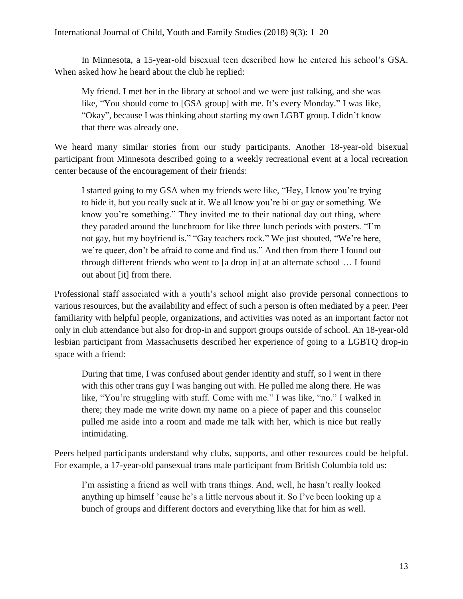In Minnesota, a 15-year-old bisexual teen described how he entered his school's GSA. When asked how he heard about the club he replied:

My friend. I met her in the library at school and we were just talking, and she was like, "You should come to [GSA group] with me. It's every Monday." I was like, "Okay", because I was thinking about starting my own LGBT group. I didn't know that there was already one.

We heard many similar stories from our study participants. Another 18-year-old bisexual participant from Minnesota described going to a weekly recreational event at a local recreation center because of the encouragement of their friends:

I started going to my GSA when my friends were like, "Hey, I know you're trying to hide it, but you really suck at it. We all know you're bi or gay or something. We know you're something." They invited me to their national day out thing, where they paraded around the lunchroom for like three lunch periods with posters. "I'm not gay, but my boyfriend is." "Gay teachers rock." We just shouted, "We're here, we're queer, don't be afraid to come and find us." And then from there I found out through different friends who went to [a drop in] at an alternate school … I found out about [it] from there.

Professional staff associated with a youth's school might also provide personal connections to various resources, but the availability and effect of such a person is often mediated by a peer. Peer familiarity with helpful people, organizations, and activities was noted as an important factor not only in club attendance but also for drop-in and support groups outside of school. An 18-year-old lesbian participant from Massachusetts described her experience of going to a LGBTQ drop-in space with a friend:

During that time, I was confused about gender identity and stuff, so I went in there with this other trans guy I was hanging out with. He pulled me along there. He was like, "You're struggling with stuff. Come with me." I was like, "no." I walked in there; they made me write down my name on a piece of paper and this counselor pulled me aside into a room and made me talk with her, which is nice but really intimidating.

Peers helped participants understand why clubs, supports, and other resources could be helpful. For example, a 17-year-old pansexual trans male participant from British Columbia told us:

I'm assisting a friend as well with trans things. And, well, he hasn't really looked anything up himself 'cause he's a little nervous about it. So I've been looking up a bunch of groups and different doctors and everything like that for him as well.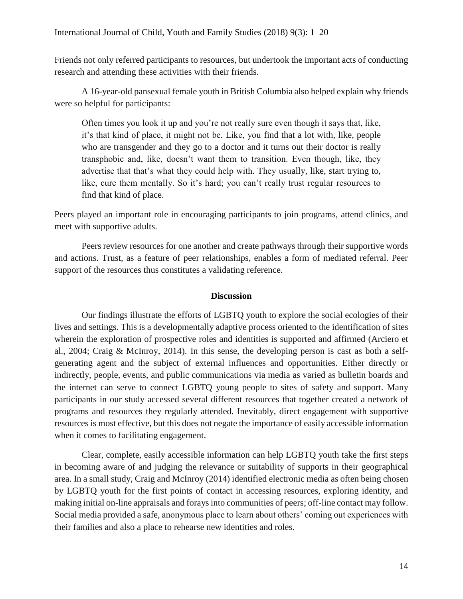Friends not only referred participants to resources, but undertook the important acts of conducting research and attending these activities with their friends.

A 16-year-old pansexual female youth in British Columbia also helped explain why friends were so helpful for participants:

Often times you look it up and you're not really sure even though it says that, like, it's that kind of place, it might not be. Like, you find that a lot with, like, people who are transgender and they go to a doctor and it turns out their doctor is really transphobic and, like, doesn't want them to transition. Even though, like, they advertise that that's what they could help with. They usually, like, start trying to, like, cure them mentally. So it's hard; you can't really trust regular resources to find that kind of place.

Peers played an important role in encouraging participants to join programs, attend clinics, and meet with supportive adults.

Peers review resources for one another and create pathways through their supportive words and actions. Trust, as a feature of peer relationships, enables a form of mediated referral. Peer support of the resources thus constitutes a validating reference.

### **Discussion**

Our findings illustrate the efforts of LGBTQ youth to explore the social ecologies of their lives and settings. This is a developmentally adaptive process oriented to the identification of sites wherein the exploration of prospective roles and identities is supported and affirmed (Arciero et al., 2004; Craig & McInroy, 2014). In this sense, the developing person is cast as both a selfgenerating agent and the subject of external influences and opportunities. Either directly or indirectly, people, events, and public communications via media as varied as bulletin boards and the internet can serve to connect LGBTQ young people to sites of safety and support. Many participants in our study accessed several different resources that together created a network of programs and resources they regularly attended. Inevitably, direct engagement with supportive resources is most effective, but this does not negate the importance of easily accessible information when it comes to facilitating engagement.

Clear, complete, easily accessible information can help LGBTQ youth take the first steps in becoming aware of and judging the relevance or suitability of supports in their geographical area. In a small study, Craig and McInroy (2014) identified electronic media as often being chosen by LGBTQ youth for the first points of contact in accessing resources, exploring identity, and making initial on-line appraisals and forays into communities of peers; off-line contact may follow. Social media provided a safe, anonymous place to learn about others' coming out experiences with their families and also a place to rehearse new identities and roles.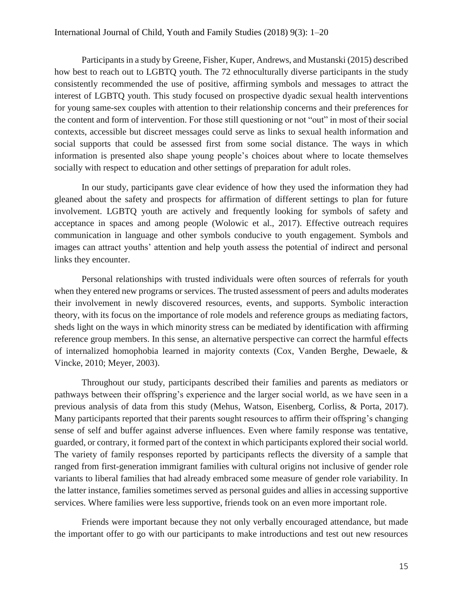Participants in a study by Greene, Fisher, Kuper, Andrews, and Mustanski (2015) described how best to reach out to LGBTQ youth. The 72 ethnoculturally diverse participants in the study consistently recommended the use of positive, affirming symbols and messages to attract the interest of LGBTQ youth. This study focused on prospective dyadic sexual health interventions for young same-sex couples with attention to their relationship concerns and their preferences for the content and form of intervention. For those still questioning or not "out" in most of their social contexts, accessible but discreet messages could serve as links to sexual health information and social supports that could be assessed first from some social distance. The ways in which information is presented also shape young people's choices about where to locate themselves socially with respect to education and other settings of preparation for adult roles.

In our study, participants gave clear evidence of how they used the information they had gleaned about the safety and prospects for affirmation of different settings to plan for future involvement. LGBTQ youth are actively and frequently looking for symbols of safety and acceptance in spaces and among people (Wolowic et al., 2017). Effective outreach requires communication in language and other symbols conducive to youth engagement. Symbols and images can attract youths' attention and help youth assess the potential of indirect and personal links they encounter.

Personal relationships with trusted individuals were often sources of referrals for youth when they entered new programs or services. The trusted assessment of peers and adults moderates their involvement in newly discovered resources, events, and supports. Symbolic interaction theory, with its focus on the importance of role models and reference groups as mediating factors, sheds light on the ways in which minority stress can be mediated by identification with affirming reference group members. In this sense, an alternative perspective can correct the harmful effects of internalized homophobia learned in majority contexts (Cox, Vanden Berghe, Dewaele, & Vincke, 2010; Meyer, 2003).

Throughout our study, participants described their families and parents as mediators or pathways between their offspring's experience and the larger social world, as we have seen in a previous analysis of data from this study (Mehus, Watson, Eisenberg, Corliss, & Porta, 2017). Many participants reported that their parents sought resources to affirm their offspring's changing sense of self and buffer against adverse influences. Even where family response was tentative, guarded, or contrary, it formed part of the context in which participants explored their social world. The variety of family responses reported by participants reflects the diversity of a sample that ranged from first-generation immigrant families with cultural origins not inclusive of gender role variants to liberal families that had already embraced some measure of gender role variability. In the latter instance, families sometimes served as personal guides and allies in accessing supportive services. Where families were less supportive, friends took on an even more important role.

Friends were important because they not only verbally encouraged attendance, but made the important offer to go with our participants to make introductions and test out new resources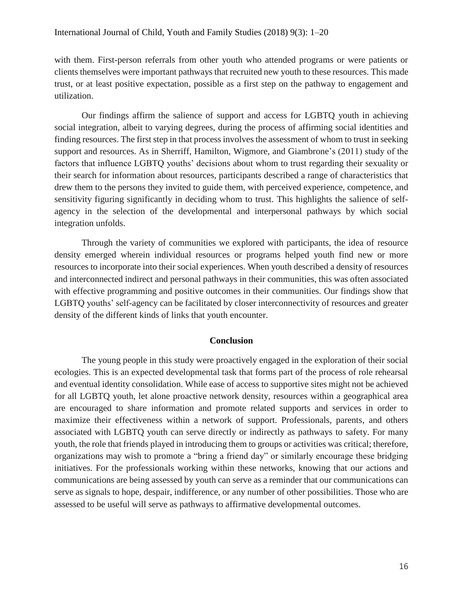with them. First-person referrals from other youth who attended programs or were patients or clients themselves were important pathways that recruited new youth to these resources. This made trust, or at least positive expectation, possible as a first step on the pathway to engagement and utilization.

Our findings affirm the salience of support and access for LGBTQ youth in achieving social integration, albeit to varying degrees, during the process of affirming social identities and finding resources. The first step in that process involves the assessment of whom to trust in seeking support and resources. As in Sherriff, Hamilton, Wigmore, and Giambrone's (2011) study of the factors that influence LGBTQ youths' decisions about whom to trust regarding their sexuality or their search for information about resources, participants described a range of characteristics that drew them to the persons they invited to guide them, with perceived experience, competence, and sensitivity figuring significantly in deciding whom to trust. This highlights the salience of selfagency in the selection of the developmental and interpersonal pathways by which social integration unfolds.

Through the variety of communities we explored with participants, the idea of resource density emerged wherein individual resources or programs helped youth find new or more resources to incorporate into their social experiences. When youth described a density of resources and interconnected indirect and personal pathways in their communities, this was often associated with effective programming and positive outcomes in their communities. Our findings show that LGBTQ youths' self-agency can be facilitated by closer interconnectivity of resources and greater density of the different kinds of links that youth encounter.

#### **Conclusion**

The young people in this study were proactively engaged in the exploration of their social ecologies. This is an expected developmental task that forms part of the process of role rehearsal and eventual identity consolidation. While ease of access to supportive sites might not be achieved for all LGBTQ youth, let alone proactive network density, resources within a geographical area are encouraged to share information and promote related supports and services in order to maximize their effectiveness within a network of support. Professionals, parents, and others associated with LGBTQ youth can serve directly or indirectly as pathways to safety. For many youth, the role that friends played in introducing them to groups or activities was critical; therefore, organizations may wish to promote a "bring a friend day" or similarly encourage these bridging initiatives. For the professionals working within these networks, knowing that our actions and communications are being assessed by youth can serve as a reminder that our communications can serve as signals to hope, despair, indifference, or any number of other possibilities. Those who are assessed to be useful will serve as pathways to affirmative developmental outcomes.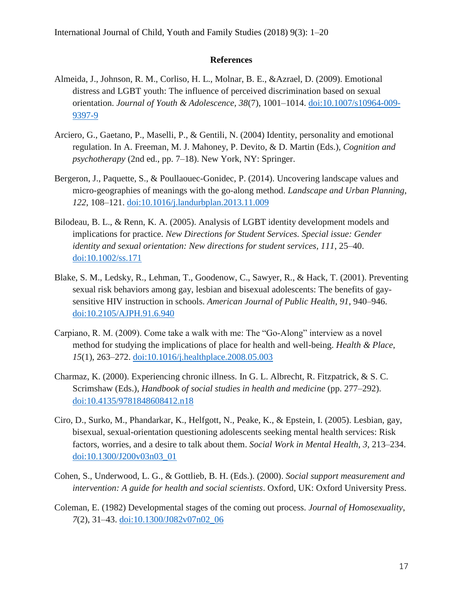#### **References**

- Almeida, J., Johnson, R. M., Corliso, H. L., Molnar, B. E., &Azrael, D. (2009). Emotional distress and LGBT youth: The influence of perceived discrimination based on sexual orientation. *Journal of Youth & Adolescence, 38*(7), 1001–1014. [doi:10.1007/s10964-009-](http://dx.doi.org/10.1007/s10964-009-9397-9) [9397-9](http://dx.doi.org/10.1007/s10964-009-9397-9)
- Arciero, G., Gaetano, P., Maselli, P., & Gentili, N. (2004) Identity, personality and emotional regulation. In A. Freeman, M. J. Mahoney, P. Devito, & D. Martin (Eds.), *Cognition and psychotherapy* (2nd ed., pp. 7–18). New York, NY: Springer.
- Bergeron, J., Paquette, S., & Poullaouec-Gonidec, P. (2014). Uncovering landscape values and micro-geographies of meanings with the go-along method. *Landscape and Urban Planning*, *122*, 108–121. [doi:10.1016/j.landurbplan.2013.11.009](http://dx.doi.org/10.1016/j.landurbplan.2013.11.009)
- Bilodeau, B. L., & Renn, K. A. (2005). Analysis of LGBT identity development models and implications for practice. *New Directions for Student Services. Special issue: Gender identity and sexual orientation: New directions for student services, 111*, 25–40. [doi:10.1002/ss.171](http://dx.doi.org/10.1002/ss.171)
- Blake, S. M., Ledsky, R., Lehman, T., Goodenow, C., Sawyer, R., & Hack, T. (2001). Preventing sexual risk behaviors among gay, lesbian and bisexual adolescents: The benefits of gaysensitive HIV instruction in schools. *American Journal of Public Health*, *91*, 940–946. [doi:10.2105/AJPH.91.6.940](http://dx.doi.org/10.2105/AJPH.91.6.940)
- Carpiano, R. M. (2009). Come take a walk with me: The "Go-Along" interview as a novel method for studying the implications of place for health and well-being. *Health & Place*, *15*(1), 263–272. [doi:10.1016/j.healthplace.2008.05.003](http://dx.doi.org/10.1016/j.healthplace.2008.05.003)
- Charmaz, K. (2000). Experiencing chronic illness. In G. L. Albrecht, R. Fitzpatrick, & S. C. Scrimshaw (Eds.), *Handbook of social studies in health and medicine* (pp. 277–292). [doi:10.4135/9781848608412.n18](http://dx.doi.org/10.4135/9781848608412.n18)
- Ciro, D., Surko, M., Phandarkar, K., Helfgott, N., Peake, K., & Epstein, I. (2005). Lesbian, gay, bisexual, sexual-orientation questioning adolescents seeking mental health services: Risk factors, worries, and a desire to talk about them. *Social Work in Mental Health*, *3*, 213–234. [doi:10.1300/J200v03n03\\_01](http://dx.doi.org/10.1300/J200v03n03_01)
- Cohen, S., Underwood, L. G., & Gottlieb, B. H. (Eds.). (2000). *Social support measurement and intervention: A guide for health and social scientists*. Oxford, UK: Oxford University Press.
- Coleman, E. (1982) Developmental stages of the coming out process. *Journal of Homosexuality*, *7*(2), 31–43. [doi:10.1300/J082v07n02\\_06](http://dx.doi.org/10.1300/J082v07n02_06)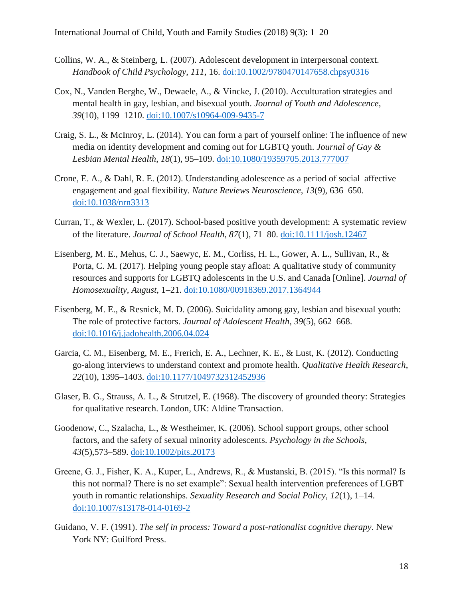- Collins, W. A., & Steinberg, L. (2007). Adolescent development in interpersonal context. *Handbook of Child Psychology*, *111*, 16. [doi:10.1002/9780470147658.chpsy0316](http://dx.doi.org/10.1002/9780470147658.chpsy0316)
- Cox, N., Vanden Berghe, W., Dewaele, A., & Vincke, J. (2010). Acculturation strategies and mental health in gay, lesbian, and bisexual youth. *Journal of Youth and Adolescence*, *39*(10), 1199–1210. [doi:10.1007/s10964-009-9435-7](http://dx.doi.org/10.1007/s10964-009-9435-7)
- Craig, S. L., & McInroy, L. (2014). You can form a part of yourself online: The influence of new media on identity development and coming out for LGBTQ youth. *Journal of Gay & Lesbian Mental Health*, *18*(1), 95–109. [doi:10.1080/19359705.2013.777007](http://dx.doi.org/10.1080/19359705.2013.777007)
- Crone, E. A., & Dahl, R. E. (2012). Understanding adolescence as a period of social–affective engagement and goal flexibility. *Nature Reviews Neuroscience*, *13*(9), 636–650. [doi:10.1038/nrn3313](http://dx.doi.org/10.1038/nrn3313)
- Curran, T., & Wexler, L. (2017). School‐based positive youth development: A systematic review of the literature. *Journal of School Health*, *87*(1), 71–80. [doi:10.1111/josh.12467](http://dx.doi.org/10.1111/josh.12467)
- Eisenberg, M. E., Mehus, C. J., Saewyc, E. M., Corliss, H. L., Gower, A. L., Sullivan, R., & Porta, C. M. (2017). Helping young people stay afloat: A qualitative study of community resources and supports for LGBTQ adolescents in the U.S. and Canada [Online]. *Journal of Homosexuality, August,* 1–21. [doi:10.1080/00918369.2017.1364944](http://dx.doi.org/10.1080/00918369.2017.1364944)
- Eisenberg, M. E., & Resnick, M. D. (2006). Suicidality among gay, lesbian and bisexual youth: The role of protective factors. *Journal of Adolescent Health, 39*(5), 662–668. [doi:10.1016/j.jadohealth.2006.04.024](https://doi.org/10.1016/j.jadohealth.2006.04.024)
- Garcia, C. M., Eisenberg, M. E., Frerich, E. A., Lechner, K. E., & Lust, K. (2012). Conducting go-along interviews to understand context and promote health. *Qualitative Health Research*, *22*(10), 1395–1403. [doi:10.1177/1049732312452936](http://dx.doi.org/10.1177/1049732312452936)
- Glaser, B. G., Strauss, A. L., & Strutzel, E. (1968). The discovery of grounded theory: Strategies for qualitative research. London, UK: Aldine Transaction.
- Goodenow, C., Szalacha, L., & Westheimer, K. (2006). School support groups, other school factors, and the safety of sexual minority adolescents. *Psychology in the Schools*, *43*(5),573–589. [doi:10.1002/pits.20173](http://dx.doi.org/10.1002/pits.20173)
- Greene, G. J., Fisher, K. A., Kuper, L., Andrews, R., & Mustanski, B. (2015). "Is this normal? Is this not normal? There is no set example": Sexual health intervention preferences of LGBT youth in romantic relationships. *Sexuality Research and Social Policy, 12*(1), 1–14. [doi:10.1007/s13178-014-0169-2](http://dx.doi.org/10.1007/s13178-014-0169-2)
- Guidano, V. F. (1991). *The self in process: Toward a post-rationalist cognitive therapy*. New York NY: Guilford Press.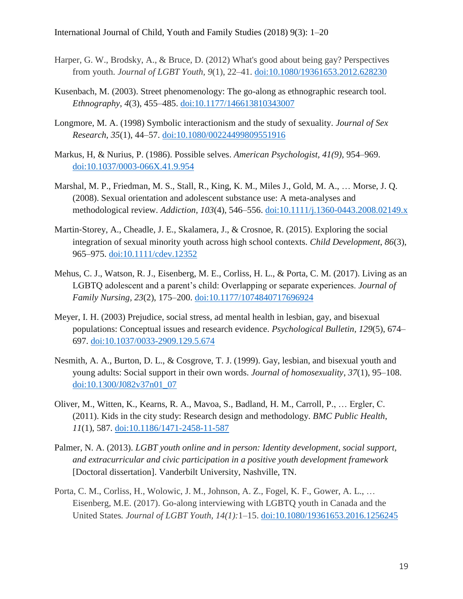- Harper, G. W., Brodsky, A., & Bruce, D. (2012) What's good about being gay? Perspectives from youth. *Journal of LGBT Youth, 9*(1), 22–41. [doi:10.1080/19361653.2012.628230](https://doi.org/10.1080/19361653.2012.628230)
- Kusenbach, M. (2003). Street phenomenology: The go-along as ethnographic research tool. *Ethnography*, *4*(3), 455–485. [doi:10.1177/146613810343007](http://dx.doi.org/10.1177/146613810343007)
- Longmore, M. A. (1998) Symbolic interactionism and the study of sexuality. *Journal of Sex Research*, *35*(1), 44–57. [doi:10.1080/00224499809551916](http://dx.doi.org/10.1080/00224499809551916)
- Markus, H, & Nurius, P. (1986). Possible selves. *American Psychologist, 41(9),* 954–969. [doi:10.1037/0003-066X.41.9.954](http://dx.doi.org/10.1037/0003-066X.41.9.954)
- Marshal, M. P., Friedman, M. S., Stall, R., King, K. M., Miles J., Gold, M. A., … Morse, J. Q. (2008). Sexual orientation and adolescent substance use: A meta-analyses and methodological review. *Addiction, 103*(4), 546–556. [doi:10.1111/j.1360-0443.2008.02149.x](https://doi.org/10.1111/j.1360-0443.2008.02149.x)
- Martin-Storey, A., Cheadle, J. E., Skalamera, J., & Crosnoe, R. (2015). Exploring the social integration of sexual minority youth across high school contexts. *Child Development*, *86*(3), 965–975. [doi:10.1111/cdev.12352](http://dx.doi.org/10.1111/cdev.12352)
- Mehus, C. J., Watson, R. J., Eisenberg, M. E., Corliss, H. L., & Porta, C. M. (2017). Living as an LGBTQ adolescent and a parent's child: Overlapping or separate experiences. *Journal of Family Nursing, 23*(2), 175–200. [doi:10.1177/1074840717696924](http://dx.doi.org/10.1177/1074840717696924)
- Meyer, I. H. (2003) Prejudice, social stress, ad mental health in lesbian, gay, and bisexual populations: Conceptual issues and research evidence. *Psychological Bulletin, 129*(5), 674– 697. [doi:10.1037/0033-2909.129.5.674](http://dx.doi.org/10.1037/0033-2909.129.5.674)
- Nesmith, A. A., Burton, D. L., & Cosgrove, T. J. (1999). Gay, lesbian, and bisexual youth and young adults: Social support in their own words. *Journal of homosexuality*, *37*(1), 95–108. [doi:10.1300/J082v37n01\\_07](http://dx.doi.org/10.1300/J082v37n01_07)
- Oliver, M., Witten, K., Kearns, R. A., Mavoa, S., Badland, H. M., Carroll, P., … Ergler, C. (2011). Kids in the city study: Research design and methodology. *BMC Public Health*, *11*(1), 587. [doi:10.1186/1471-2458-11-587](http://dx.doi.org/10.1186/1471-2458-11-587)
- Palmer, N. A. (2013). *LGBT youth online and in person: Identity development, social support, and extracurricular and civic participation in a positive youth development framework* [Doctoral dissertation]. Vanderbilt University, Nashville, TN.
- Porta, C. M., Corliss, H., Wolowic, J. M., Johnson, A. Z., Fogel, K. F., Gower, A. L., … Eisenberg, M.E. (2017). Go-along interviewing with LGBTQ youth in Canada and the United States*. Journal of LGBT Youth, 14(1):*1–15. [doi:10.1080/19361653.2016.1256245](http://dx.doi.org/10.1080/19361653.2016.1256245)